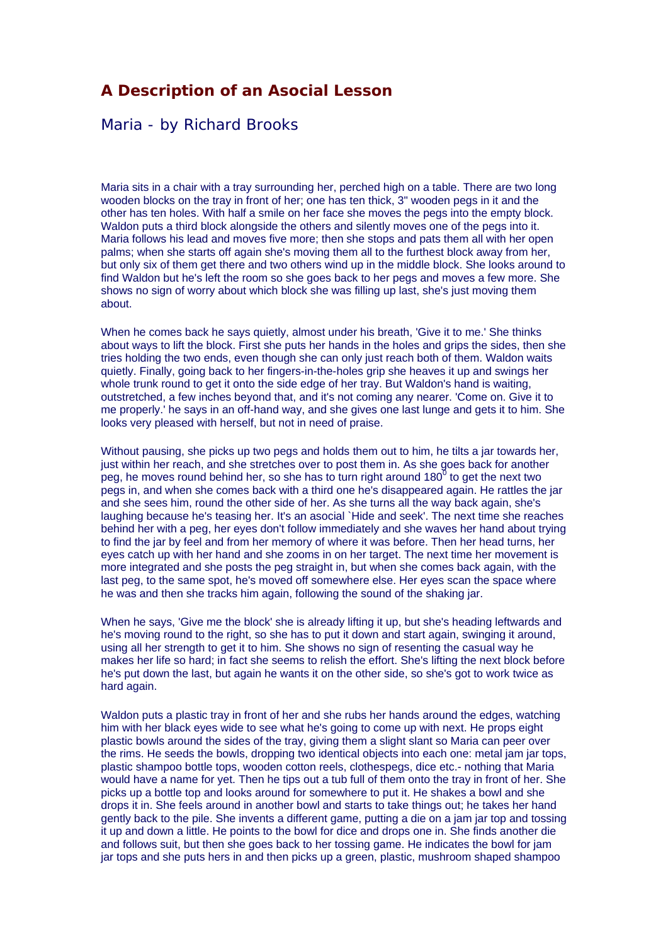## **A Description of an Asocial Lesson**

## Maria - by Richard Brooks

Maria sits in a chair with a tray surrounding her, perched high on a table. There are two long wooden blocks on the tray in front of her; one has ten thick, 3" wooden pegs in it and the other has ten holes. With half a smile on her face she moves the pegs into the empty block. Waldon puts a third block alongside the others and silently moves one of the pegs into it. Maria follows his lead and moves five more; then she stops and pats them all with her open palms; when she starts off again she's moving them all to the furthest block away from her, but only six of them get there and two others wind up in the middle block. She looks around to find Waldon but he's left the room so she goes back to her pegs and moves a few more. She shows no sign of worry about which block she was filling up last, she's just moving them about.

When he comes back he says quietly, almost under his breath, 'Give it to me.' She thinks about ways to lift the block. First she puts her hands in the holes and grips the sides, then she tries holding the two ends, even though she can only just reach both of them. Waldon waits quietly. Finally, going back to her fingers-in-the-holes grip she heaves it up and swings her whole trunk round to get it onto the side edge of her tray. But Waldon's hand is waiting, outstretched, a few inches beyond that, and it's not coming any nearer. 'Come on. Give it to me properly.' he says in an off-hand way, and she gives one last lunge and gets it to him. She looks very pleased with herself, but not in need of praise.

Without pausing, she picks up two pegs and holds them out to him, he tilts a jar towards her, just within her reach, and she stretches over to post them in. As she goes back for another peg, he moves round behind her, so she has to turn right around 180 $^{\text{0}}$  to get the next two pegs in, and when she comes back with a third one he's disappeared again. He rattles the jar and she sees him, round the other side of her. As she turns all the way back again, she's laughing because he's teasing her. It's an asocial `Hide and seek'. The next time she reaches behind her with a peg, her eyes don't follow immediately and she waves her hand about trying to find the jar by feel and from her memory of where it was before. Then her head turns, her eyes catch up with her hand and she zooms in on her target. The next time her movement is more integrated and she posts the peg straight in, but when she comes back again, with the last peg, to the same spot, he's moved off somewhere else. Her eyes scan the space where he was and then she tracks him again, following the sound of the shaking jar.

When he says, 'Give me the block' she is already lifting it up, but she's heading leftwards and he's moving round to the right, so she has to put it down and start again, swinging it around, using all her strength to get it to him. She shows no sign of resenting the casual way he makes her life so hard; in fact she seems to relish the effort. She's lifting the next block before he's put down the last, but again he wants it on the other side, so she's got to work twice as hard again.

Waldon puts a plastic tray in front of her and she rubs her hands around the edges, watching him with her black eyes wide to see what he's going to come up with next. He props eight plastic bowls around the sides of the tray, giving them a slight slant so Maria can peer over the rims. He seeds the bowls, dropping two identical objects into each one: metal jam jar tops, plastic shampoo bottle tops, wooden cotton reels, clothespegs, dice etc.- nothing that Maria would have a name for yet. Then he tips out a tub full of them onto the tray in front of her. She picks up a bottle top and looks around for somewhere to put it. He shakes a bowl and she drops it in. She feels around in another bowl and starts to take things out; he takes her hand gently back to the pile. She invents a different game, putting a die on a jam jar top and tossing it up and down a little. He points to the bowl for dice and drops one in. She finds another die and follows suit, but then she goes back to her tossing game. He indicates the bowl for jam jar tops and she puts hers in and then picks up a green, plastic, mushroom shaped shampoo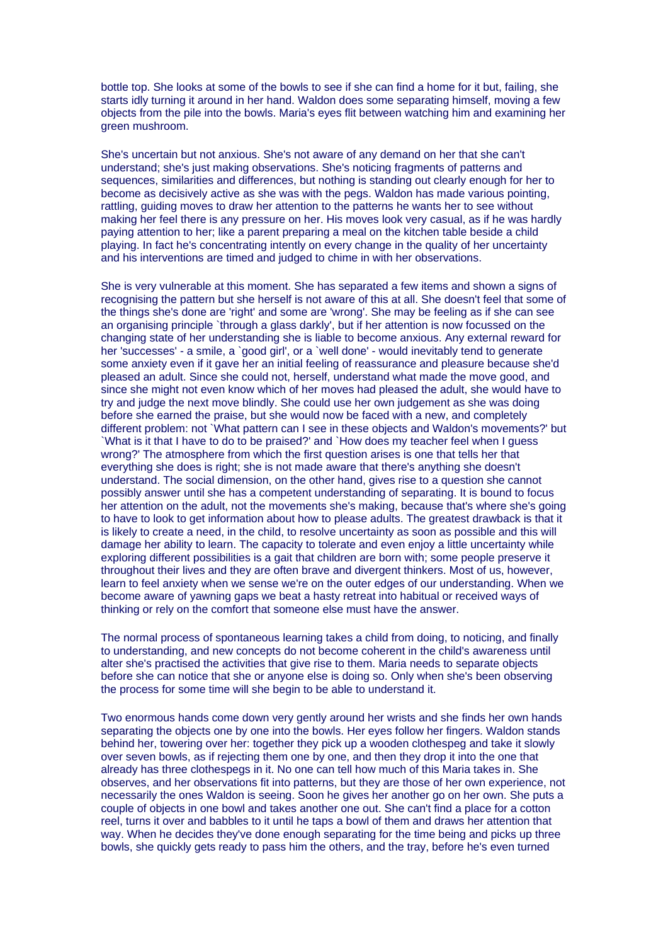bottle top. She looks at some of the bowls to see if she can find a home for it but, failing, she starts idly turning it around in her hand. Waldon does some separating himself, moving a few objects from the pile into the bowls. Maria's eyes flit between watching him and examining her green mushroom.

She's uncertain but not anxious. She's not aware of any demand on her that she can't understand; she's just making observations. She's noticing fragments of patterns and sequences, similarities and differences, but nothing is standing out clearly enough for her to become as decisively active as she was with the pegs. Waldon has made various pointing, rattling, guiding moves to draw her attention to the patterns he wants her to see without making her feel there is any pressure on her. His moves look very casual, as if he was hardly paying attention to her; like a parent preparing a meal on the kitchen table beside a child playing. In fact he's concentrating intently on every change in the quality of her uncertainty and his interventions are timed and judged to chime in with her observations.

She is very vulnerable at this moment. She has separated a few items and shown a signs of recognising the pattern but she herself is not aware of this at all. She doesn't feel that some of the things she's done are 'right' and some are 'wrong'. She may be feeling as if she can see an organising principle `through a glass darkly', but if her attention is now focussed on the changing state of her understanding she is liable to become anxious. Any external reward for her 'successes' - a smile, a 'good girl', or a 'well done' - would inevitably tend to generate some anxiety even if it gave her an initial feeling of reassurance and pleasure because she'd pleased an adult. Since she could not, herself, understand what made the move good, and since she might not even know which of her moves had pleased the adult, she would have to try and judge the next move blindly. She could use her own judgement as she was doing before she earned the praise, but she would now be faced with a new, and completely different problem: not `What pattern can I see in these objects and Waldon's movements?' but `What is it that I have to do to be praised?' and `How does my teacher feel when I guess wrong?' The atmosphere from which the first question arises is one that tells her that everything she does is right; she is not made aware that there's anything she doesn't understand. The social dimension, on the other hand, gives rise to a question she cannot possibly answer until she has a competent understanding of separating. It is bound to focus her attention on the adult, not the movements she's making, because that's where she's going to have to look to get information about how to please adults. The greatest drawback is that it is likely to create a need, in the child, to resolve uncertainty as soon as possible and this will damage her ability to learn. The capacity to tolerate and even enjoy a little uncertainty while exploring different possibilities is a gait that children are born with; some people preserve it throughout their lives and they are often brave and divergent thinkers. Most of us, however, learn to feel anxiety when we sense we're on the outer edges of our understanding. When we become aware of yawning gaps we beat a hasty retreat into habitual or received ways of thinking or rely on the comfort that someone else must have the answer.

The normal process of spontaneous learning takes a child from doing, to noticing, and finally to understanding, and new concepts do not become coherent in the child's awareness until alter she's practised the activities that give rise to them. Maria needs to separate objects before she can notice that she or anyone else is doing so. Only when she's been observing the process for some time will she begin to be able to understand it.

Two enormous hands come down very gently around her wrists and she finds her own hands separating the objects one by one into the bowls. Her eyes follow her fingers. Waldon stands behind her, towering over her: together they pick up a wooden clothespeg and take it slowly over seven bowls, as if rejecting them one by one, and then they drop it into the one that already has three clothespegs in it. No one can tell how much of this Maria takes in. She observes, and her observations fit into patterns, but they are those of her own experience, not necessarily the ones Waldon is seeing. Soon he gives her another go on her own. She puts a couple of objects in one bowl and takes another one out. She can't find a place for a cotton reel, turns it over and babbles to it until he taps a bowl of them and draws her attention that way. When he decides they've done enough separating for the time being and picks up three bowls, she quickly gets ready to pass him the others, and the tray, before he's even turned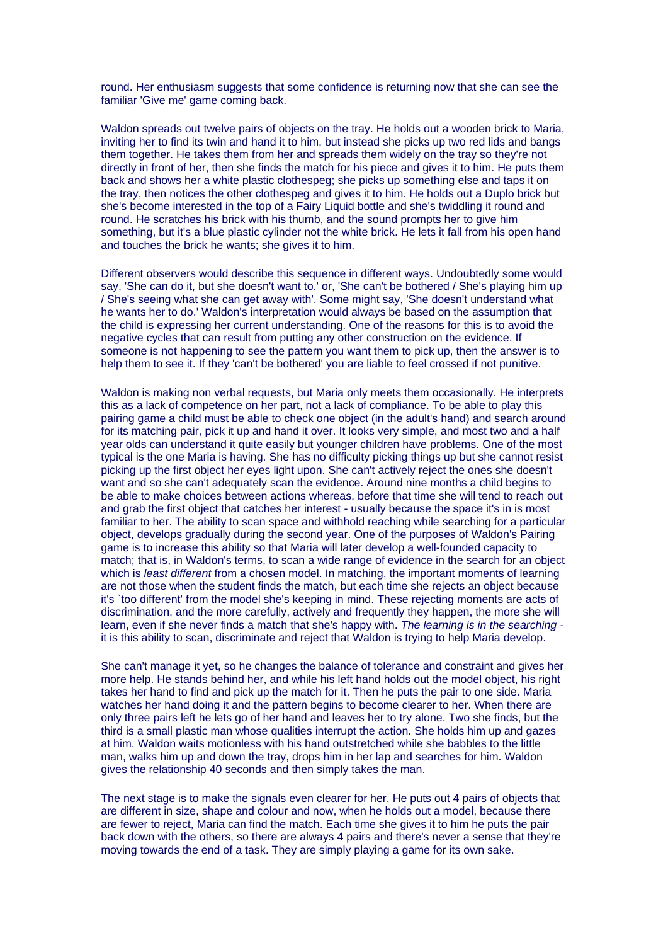round. Her enthusiasm suggests that some confidence is returning now that she can see the familiar 'Give me' game coming back.

Waldon spreads out twelve pairs of objects on the tray. He holds out a wooden brick to Maria, inviting her to find its twin and hand it to him, but instead she picks up two red lids and bangs them together. He takes them from her and spreads them widely on the tray so they're not directly in front of her, then she finds the match for his piece and gives it to him. He puts them back and shows her a white plastic clothespeg; she picks up something else and taps it on the tray, then notices the other clothespeg and gives it to him. He holds out a Duplo brick but she's become interested in the top of a Fairy Liquid bottle and she's twiddling it round and round. He scratches his brick with his thumb, and the sound prompts her to give him something, but it's a blue plastic cylinder not the white brick. He lets it fall from his open hand and touches the brick he wants; she gives it to him.

Different observers would describe this sequence in different ways. Undoubtedly some would say, 'She can do it, but she doesn't want to.' or, 'She can't be bothered / She's playing him up / She's seeing what she can get away with'. Some might say, 'She doesn't understand what he wants her to do.' Waldon's interpretation would always be based on the assumption that the child is expressing her current understanding. One of the reasons for this is to avoid the negative cycles that can result from putting any other construction on the evidence. If someone is not happening to see the pattern you want them to pick up, then the answer is to help them to see it. If they 'can't be bothered' you are liable to feel crossed if not punitive.

Waldon is making non verbal requests, but Maria only meets them occasionally. He interprets this as a lack of competence on her part, not a lack of compliance. To be able to play this pairing game a child must be able to check one object (in the adult's hand) and search around for its matching pair, pick it up and hand it over. It looks very simple, and most two and a half year olds can understand it quite easily but younger children have problems. One of the most typical is the one Maria is having. She has no difficulty picking things up but she cannot resist picking up the first object her eyes light upon. She can't actively reject the ones she doesn't want and so she can't adequately scan the evidence. Around nine months a child begins to be able to make choices between actions whereas, before that time she will tend to reach out and grab the first object that catches her interest - usually because the space it's in is most familiar to her. The ability to scan space and withhold reaching while searching for a particular object, develops gradually during the second year. One of the purposes of Waldon's Pairing game is to increase this ability so that Maria will later develop a well-founded capacity to match; that is, in Waldon's terms, to scan a wide range of evidence in the search for an object which is *least different* from a chosen model. In matching, the important moments of learning are not those when the student finds the match, but each time she rejects an object because it's `too different' from the model she's keeping in mind. These rejecting moments are acts of discrimination, and the more carefully, actively and frequently they happen, the more she will learn, even if she never finds a match that she's happy with. *The learning is in the searching*  it is this ability to scan, discriminate and reject that Waldon is trying to help Maria develop.

She can't manage it yet, so he changes the balance of tolerance and constraint and gives her more help. He stands behind her, and while his left hand holds out the model object, his right takes her hand to find and pick up the match for it. Then he puts the pair to one side. Maria watches her hand doing it and the pattern begins to become clearer to her. When there are only three pairs left he lets go of her hand and leaves her to try alone. Two she finds, but the third is a small plastic man whose qualities interrupt the action. She holds him up and gazes at him. Waldon waits motionless with his hand outstretched while she babbles to the little man, walks him up and down the tray, drops him in her lap and searches for him. Waldon gives the relationship 40 seconds and then simply takes the man.

The next stage is to make the signals even clearer for her. He puts out 4 pairs of objects that are different in size, shape and colour and now, when he holds out a model, because there are fewer to reject, Maria can find the match. Each time she gives it to him he puts the pair back down with the others, so there are always 4 pairs and there's never a sense that they're moving towards the end of a task. They are simply playing a game for its own sake.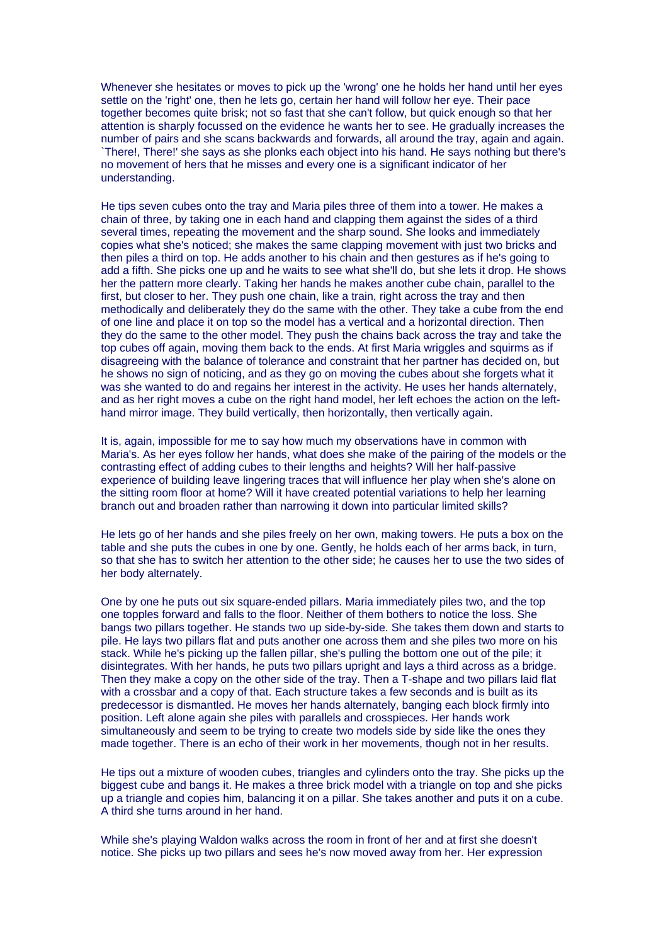Whenever she hesitates or moves to pick up the 'wrong' one he holds her hand until her eyes settle on the 'right' one, then he lets go, certain her hand will follow her eye. Their pace together becomes quite brisk; not so fast that she can't follow, but quick enough so that her attention is sharply focussed on the evidence he wants her to see. He gradually increases the number of pairs and she scans backwards and forwards, all around the tray, again and again. `There!, There!' she says as she plonks each object into his hand. He says nothing but there's no movement of hers that he misses and every one is a significant indicator of her understanding.

He tips seven cubes onto the tray and Maria piles three of them into a tower. He makes a chain of three, by taking one in each hand and clapping them against the sides of a third several times, repeating the movement and the sharp sound. She looks and immediately copies what she's noticed; she makes the same clapping movement with just two bricks and then piles a third on top. He adds another to his chain and then gestures as if he's going to add a fifth. She picks one up and he waits to see what she'll do, but she lets it drop. He shows her the pattern more clearly. Taking her hands he makes another cube chain, parallel to the first, but closer to her. They push one chain, like a train, right across the tray and then methodically and deliberately they do the same with the other. They take a cube from the end of one line and place it on top so the model has a vertical and a horizontal direction. Then they do the same to the other model. They push the chains back across the tray and take the top cubes off again, moving them back to the ends. At first Maria wriggles and squirms as if disagreeing with the balance of tolerance and constraint that her partner has decided on, but he shows no sign of noticing, and as they go on moving the cubes about she forgets what it was she wanted to do and regains her interest in the activity. He uses her hands alternately, and as her right moves a cube on the right hand model, her left echoes the action on the lefthand mirror image. They build vertically, then horizontally, then vertically again.

It is, again, impossible for me to say how much my observations have in common with Maria's. As her eyes follow her hands, what does she make of the pairing of the models or the contrasting effect of adding cubes to their lengths and heights? Will her half-passive experience of building leave lingering traces that will influence her play when she's alone on the sitting room floor at home? Will it have created potential variations to help her learning branch out and broaden rather than narrowing it down into particular limited skills?

He lets go of her hands and she piles freely on her own, making towers. He puts a box on the table and she puts the cubes in one by one. Gently, he holds each of her arms back, in turn, so that she has to switch her attention to the other side; he causes her to use the two sides of her body alternately.

One by one he puts out six square-ended pillars. Maria immediately piles two, and the top one topples forward and falls to the floor. Neither of them bothers to notice the loss. She bangs two pillars together. He stands two up side-by-side. She takes them down and starts to pile. He lays two pillars flat and puts another one across them and she piles two more on his stack. While he's picking up the fallen pillar, she's pulling the bottom one out of the pile; it disintegrates. With her hands, he puts two pillars upright and lays a third across as a bridge. Then they make a copy on the other side of the tray. Then a T-shape and two pillars laid flat with a crossbar and a copy of that. Each structure takes a few seconds and is built as its predecessor is dismantled. He moves her hands alternately, banging each block firmly into position. Left alone again she piles with parallels and crosspieces. Her hands work simultaneously and seem to be trying to create two models side by side like the ones they made together. There is an echo of their work in her movements, though not in her results.

He tips out a mixture of wooden cubes, triangles and cylinders onto the tray. She picks up the biggest cube and bangs it. He makes a three brick model with a triangle on top and she picks up a triangle and copies him, balancing it on a pillar. She takes another and puts it on a cube. A third she turns around in her hand.

While she's playing Waldon walks across the room in front of her and at first she doesn't notice. She picks up two pillars and sees he's now moved away from her. Her expression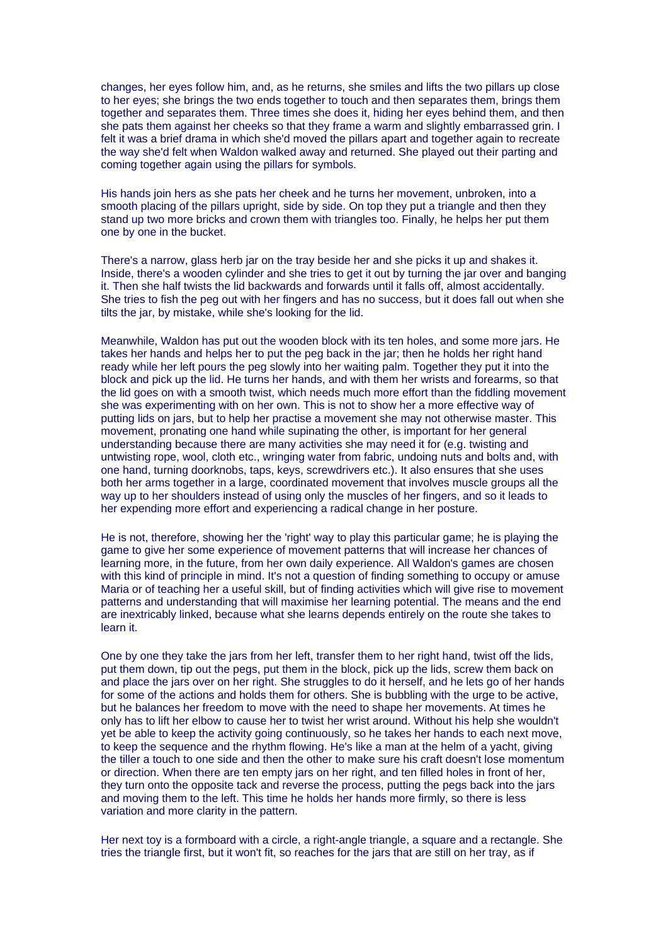changes, her eyes follow him, and, as he returns, she smiles and lifts the two pillars up close to her eyes; she brings the two ends together to touch and then separates them, brings them together and separates them. Three times she does it, hiding her eyes behind them, and then she pats them against her cheeks so that they frame a warm and slightly embarrassed grin. I felt it was a brief drama in which she'd moved the pillars apart and together again to recreate the way she'd felt when Waldon walked away and returned. She played out their parting and coming together again using the pillars for symbols.

His hands join hers as she pats her cheek and he turns her movement, unbroken, into a smooth placing of the pillars upright, side by side. On top they put a triangle and then they stand up two more bricks and crown them with triangles too. Finally, he helps her put them one by one in the bucket.

There's a narrow, glass herb jar on the tray beside her and she picks it up and shakes it. Inside, there's a wooden cylinder and she tries to get it out by turning the jar over and banging it. Then she half twists the lid backwards and forwards until it falls off, almost accidentally. She tries to fish the peg out with her fingers and has no success, but it does fall out when she tilts the jar, by mistake, while she's looking for the lid.

Meanwhile, Waldon has put out the wooden block with its ten holes, and some more jars. He takes her hands and helps her to put the peg back in the jar; then he holds her right hand ready while her left pours the peg slowly into her waiting palm. Together they put it into the block and pick up the lid. He turns her hands, and with them her wrists and forearms, so that the lid goes on with a smooth twist, which needs much more effort than the fiddling movement she was experimenting with on her own. This is not to show her a more effective way of putting lids on jars, but to help her practise a movement she may not otherwise master. This movement, pronating one hand while supinating the other, is important for her general understanding because there are many activities she may need it for (e.g. twisting and untwisting rope, wool, cloth etc., wringing water from fabric, undoing nuts and bolts and, with one hand, turning doorknobs, taps, keys, screwdrivers etc.). It also ensures that she uses both her arms together in a large, coordinated movement that involves muscle groups all the way up to her shoulders instead of using only the muscles of her fingers, and so it leads to her expending more effort and experiencing a radical change in her posture.

He is not, therefore, showing her the 'right' way to play this particular game; he is playing the game to give her some experience of movement patterns that will increase her chances of learning more, in the future, from her own daily experience. All Waldon's games are chosen with this kind of principle in mind. It's not a question of finding something to occupy or amuse Maria or of teaching her a useful skill, but of finding activities which will give rise to movement patterns and understanding that will maximise her learning potential. The means and the end are inextricably linked, because what she learns depends entirely on the route she takes to learn it.

One by one they take the jars from her left, transfer them to her right hand, twist off the lids, put them down, tip out the pegs, put them in the block, pick up the lids, screw them back on and place the jars over on her right. She struggles to do it herself, and he lets go of her hands for some of the actions and holds them for others. She is bubbling with the urge to be active, but he balances her freedom to move with the need to shape her movements. At times he only has to lift her elbow to cause her to twist her wrist around. Without his help she wouldn't yet be able to keep the activity going continuously, so he takes her hands to each next move, to keep the sequence and the rhythm flowing. He's like a man at the helm of a yacht, giving the tiller a touch to one side and then the other to make sure his craft doesn't lose momentum or direction. When there are ten empty jars on her right, and ten filled holes in front of her, they turn onto the opposite tack and reverse the process, putting the pegs back into the jars and moving them to the left. This time he holds her hands more firmly, so there is less variation and more clarity in the pattern.

Her next toy is a formboard with a circle, a right-angle triangle, a square and a rectangle. She tries the triangle first, but it won't fit, so reaches for the jars that are still on her tray, as if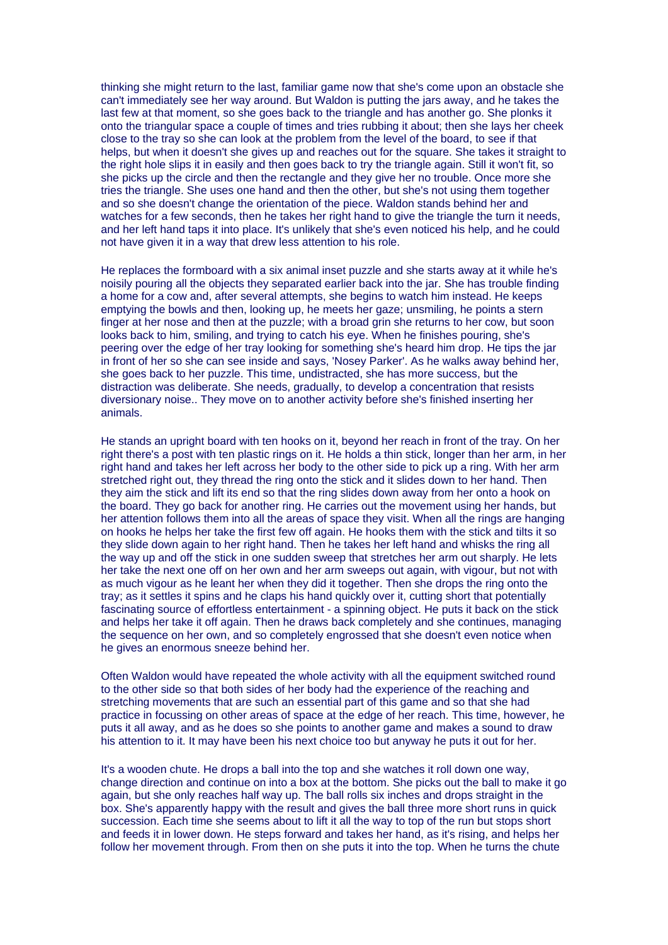thinking she might return to the last, familiar game now that she's come upon an obstacle she can't immediately see her way around. But Waldon is putting the jars away, and he takes the last few at that moment, so she goes back to the triangle and has another go. She plonks it onto the triangular space a couple of times and tries rubbing it about; then she lays her cheek close to the tray so she can look at the problem from the level of the board, to see if that helps, but when it doesn't she gives up and reaches out for the square. She takes it straight to the right hole slips it in easily and then goes back to try the triangle again. Still it won't fit, so she picks up the circle and then the rectangle and they give her no trouble. Once more she tries the triangle. She uses one hand and then the other, but she's not using them together and so she doesn't change the orientation of the piece. Waldon stands behind her and watches for a few seconds, then he takes her right hand to give the triangle the turn it needs, and her left hand taps it into place. It's unlikely that she's even noticed his help, and he could not have given it in a way that drew less attention to his role.

He replaces the formboard with a six animal inset puzzle and she starts away at it while he's noisily pouring all the objects they separated earlier back into the jar. She has trouble finding a home for a cow and, after several attempts, she begins to watch him instead. He keeps emptying the bowls and then, looking up, he meets her gaze; unsmiling, he points a stern finger at her nose and then at the puzzle; with a broad grin she returns to her cow, but soon looks back to him, smiling, and trying to catch his eye. When he finishes pouring, she's peering over the edge of her tray looking for something she's heard him drop. He tips the jar in front of her so she can see inside and says, 'Nosey Parker'. As he walks away behind her, she goes back to her puzzle. This time, undistracted, she has more success, but the distraction was deliberate. She needs, gradually, to develop a concentration that resists diversionary noise.. They move on to another activity before she's finished inserting her animals.

He stands an upright board with ten hooks on it, beyond her reach in front of the tray. On her right there's a post with ten plastic rings on it. He holds a thin stick, longer than her arm, in her right hand and takes her left across her body to the other side to pick up a ring. With her arm stretched right out, they thread the ring onto the stick and it slides down to her hand. Then they aim the stick and lift its end so that the ring slides down away from her onto a hook on the board. They go back for another ring. He carries out the movement using her hands, but her attention follows them into all the areas of space they visit. When all the rings are hanging on hooks he helps her take the first few off again. He hooks them with the stick and tilts it so they slide down again to her right hand. Then he takes her left hand and whisks the ring all the way up and off the stick in one sudden sweep that stretches her arm out sharply. He lets her take the next one off on her own and her arm sweeps out again, with vigour, but not with as much vigour as he leant her when they did it together. Then she drops the ring onto the tray; as it settles it spins and he claps his hand quickly over it, cutting short that potentially fascinating source of effortless entertainment - a spinning object. He puts it back on the stick and helps her take it off again. Then he draws back completely and she continues, managing the sequence on her own, and so completely engrossed that she doesn't even notice when he gives an enormous sneeze behind her.

Often Waldon would have repeated the whole activity with all the equipment switched round to the other side so that both sides of her body had the experience of the reaching and stretching movements that are such an essential part of this game and so that she had practice in focussing on other areas of space at the edge of her reach. This time, however, he puts it all away, and as he does so she points to another game and makes a sound to draw his attention to it. It may have been his next choice too but anyway he puts it out for her.

It's a wooden chute. He drops a ball into the top and she watches it roll down one way, change direction and continue on into a box at the bottom. She picks out the ball to make it go again, but she only reaches half way up. The ball rolls six inches and drops straight in the box. She's apparently happy with the result and gives the ball three more short runs in quick succession. Each time she seems about to lift it all the way to top of the run but stops short and feeds it in lower down. He steps forward and takes her hand, as it's rising, and helps her follow her movement through. From then on she puts it into the top. When he turns the chute